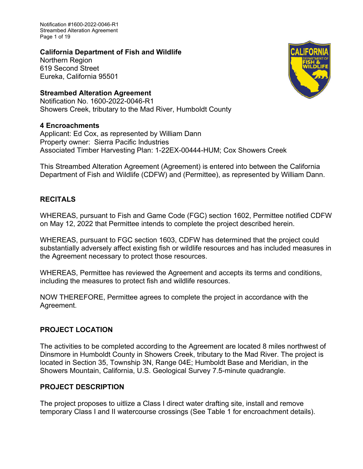Notification #1600-2022-0046-R1 Streambed Alteration Agreement Page 1 of 19

### **California Department of Fish and Wildlife**

Northern Region 619 Second Street Eureka, California 95501

## **Streambed Alteration Agreement**

Notification No. 1600-2022-0046-R1 Showers Creek, tributary to the Mad River, Humboldt County

# **4 Encroachments**

Applicant: Ed Cox, as represented by William Dann Property owner: Sierra Pacific Industries Associated Timber Harvesting Plan: 1-22EX-00444-HUM; Cox Showers Creek

This Streambed Alteration Agreement (Agreement) is entered into between the California Department of Fish and Wildlife (CDFW) and (Permittee), as represented by William Dann.

# **RECITALS**

WHEREAS, pursuant to Fish and Game Code (FGC) section 1602, Permittee notified CDFW on May 12, 2022 that Permittee intends to complete the project described herein.

WHEREAS, pursuant to FGC section 1603, CDFW has determined that the project could substantially adversely affect existing fish or wildlife resources and has included measures in the Agreement necessary to protect those resources.

WHEREAS, Permittee has reviewed the Agreement and accepts its terms and conditions, including the measures to protect fish and wildlife resources.

NOW THEREFORE, Permittee agrees to complete the project in accordance with the Agreement.

# **PROJECT LOCATION**

The activities to be completed according to the Agreement are located 8 miles northwest of Dinsmore in Humboldt County in Showers Creek, tributary to the Mad River. The project is located in Section 35, Township 3N, Range 04E; Humboldt Base and Meridian, in the Showers Mountain, California, U.S. Geological Survey 7.5-minute quadrangle.

# **PROJECT DESCRIPTION**

The project proposes to uitlize a Class I direct water drafting site, install and remove temporary Class I and II watercourse crossings (See Table 1 for encroachment details).

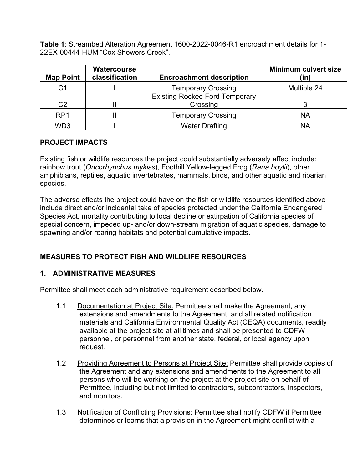**Table 1**: Streambed Alteration Agreement 1600-2022-0046-R1 encroachment details for 1- 22EX-00444-HUM "Cox Showers Creek".

| <b>Map Point</b> | <b>Watercourse</b><br>classification | <b>Encroachment description</b>       | <b>Minimum culvert size</b><br>(in) |
|------------------|--------------------------------------|---------------------------------------|-------------------------------------|
| C <sub>1</sub>   |                                      | <b>Temporary Crossing</b>             | Multiple 24                         |
|                  |                                      | <b>Existing Rocked Ford Temporary</b> |                                     |
| C <sub>2</sub>   |                                      | Crossing                              |                                     |
| RP <sub>1</sub>  |                                      | <b>Temporary Crossing</b>             | <b>NA</b>                           |
| WD3              |                                      | <b>Water Drafting</b>                 | <b>NA</b>                           |

## **PROJECT IMPACTS**

Existing fish or wildlife resources the project could substantially adversely affect include: rainbow trout (*Oncorhynchus mykiss*), Foothill Yellow-legged Frog (*Rana boylii*), other amphibians, reptiles, aquatic invertebrates, mammals, birds, and other aquatic and riparian species.

The adverse effects the project could have on the fish or wildlife resources identified above include direct and/or incidental take of species protected under the California Endangered Species Act, mortality contributing to local decline or extirpation of California species of special concern, impeded up- and/or down-stream migration of aquatic species, damage to spawning and/or rearing habitats and potential cumulative impacts.

# **MEASURES TO PROTECT FISH AND WILDLIFE RESOURCES**

# **1. ADMINISTRATIVE MEASURES**

Permittee shall meet each administrative requirement described below.

- 1.1 Documentation at Project Site: Permittee shall make the Agreement, any extensions and amendments to the Agreement, and all related notification materials and California Environmental Quality Act (CEQA) documents, readily available at the project site at all times and shall be presented to CDFW personnel, or personnel from another state, federal, or local agency upon request.
- 1.2 Providing Agreement to Persons at Project Site: Permittee shall provide copies of the Agreement and any extensions and amendments to the Agreement to all persons who will be working on the project at the project site on behalf of Permittee, including but not limited to contractors, subcontractors, inspectors, and monitors.
- 1.3 Notification of Conflicting Provisions: Permittee shall notify CDFW if Permittee determines or learns that a provision in the Agreement might conflict with a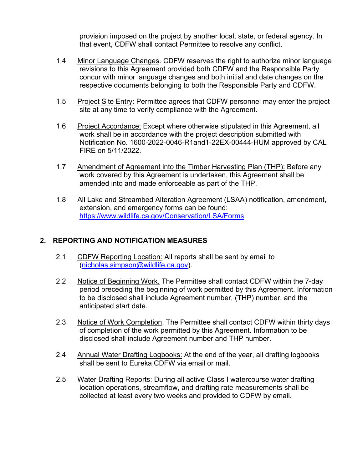provision imposed on the project by another local, state, or federal agency. In that event, CDFW shall contact Permittee to resolve any conflict.

- 1.4 Minor Language Changes. CDFW reserves the right to authorize minor language revisions to this Agreement provided both CDFW and the Responsible Party concur with minor language changes and both initial and date changes on the respective documents belonging to both the Responsible Party and CDFW.
- 1.5 Project Site Entry: Permittee agrees that CDFW personnel may enter the project site at any time to verify compliance with the Agreement.
- 1.6 Project Accordance: Except where otherwise stipulated in this Agreement, all work shall be in accordance with the project description submitted with Notification No. 1600-2022-0046-R1and1-22EX-00444-HUM approved by CAL FIRE on 5/11/2022.
- 1.7 Amendment of Agreement into the Timber Harvesting Plan (THP): Before any work covered by this Agreement is undertaken, this Agreement shall be amended into and made enforceable as part of the THP.
- 1.8 All Lake and Streambed Alteration Agreement (LSAA) notification, amendment, extension, and emergency forms can be found: https://www.wildlife.ca.gov/Conservation/LSA/Forms.

## **2. REPORTING AND NOTIFICATION MEASURES**

- 2.1 CDFW Reporting Location: All reports shall be sent by email to (nicholas.simpson@wildlife.ca.gov).
- 2.2 Notice of Beginning Work. The Permittee shall contact CDFW within the 7-day period preceding the beginning of work permitted by this Agreement. Information to be disclosed shall include Agreement number, (THP) number, and the anticipated start date.
- 2.3 Notice of Work Completion. The Permittee shall contact CDFW within thirty days of completion of the work permitted by this Agreement. Information to be disclosed shall include Agreement number and THP number.
- 2.4 Annual Water Drafting Logbooks: At the end of the year, all drafting logbooks shall be sent to Eureka CDFW via email or mail.
- 2.5 Water Drafting Reports: During all active Class I watercourse water drafting location operations, streamflow, and drafting rate measurements shall be collected at least every two weeks and provided to CDFW by email.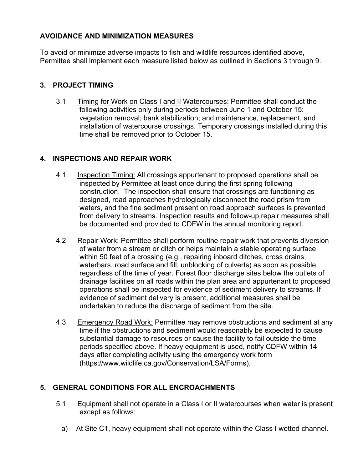## **AVOIDANCE AND MINIMIZATION MEASURES**

To avoid or minimize adverse impacts to fish and wildlife resources identified above, Permittee shall implement each measure listed below as outlined in Sections 3 through 9.

## **3. PROJECT TIMING**

3.1 Timing for Work on Class I and II Watercourses: Permittee shall conduct the following activities only during periods between June 1 and October 15: vegetation removal; bank stabilization; and maintenance, replacement, and installation of watercourse crossings. Temporary crossings installed during this time shall be removed prior to October 15.

# **4. INSPECTIONS AND REPAIR WORK**

- 4.1 Inspection Timing: All crossings appurtenant to proposed operations shall be inspected by Permittee at least once during the first spring following construction. The inspection shall ensure that crossings are functioning as designed, road approaches hydrologically disconnect the road prism from waters, and the fine sediment present on road approach surfaces is prevented from delivery to streams. Inspection results and follow-up repair measures shall be documented and provided to CDFW in the annual monitoring report.
- 4.2 Repair Work: Permittee shall perform routine repair work that prevents diversion of water from a stream or ditch or helps maintain a stable operating surface within 50 feet of a crossing (e.g., repairing inboard ditches, cross drains, waterbars, road surface and fill, unblocking of culverts) as soon as possible, regardless of the time of year. Forest floor discharge sites below the outlets of drainage facilities on all roads within the plan area and appurtenant to proposed operations shall be inspected for evidence of sediment delivery to streams. If evidence of sediment delivery is present, additional measures shall be undertaken to reduce the discharge of sediment from the site.
- 4.3 Emergency Road Work: Permittee may remove obstructions and sediment at any time if the obstructions and sediment would reasonably be expected to cause substantial damage to resources or cause the facility to fail outside the time periods specified above. If heavy equipment is used, notify CDFW within 14 days after completing activity using the emergency work form (https://www.wildlife.ca.gov/Conservation/LSA/Forms).

# **5. GENERAL CONDITIONS FOR ALL ENCROACHMENTS**

- 5.1 Equipment shall not operate in a Class I or II watercourses when water is present except as follows:
	- a) At Site C1, heavy equipment shall not operate within the Class I wetted channel.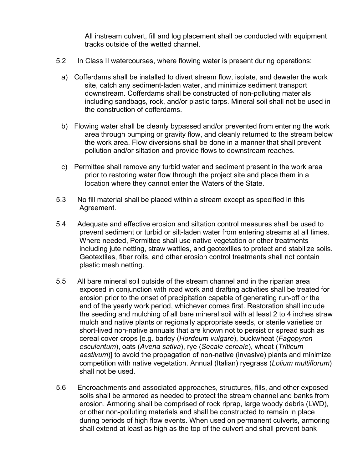All instream culvert, fill and log placement shall be conducted with equipment tracks outside of the wetted channel.

- 5.2 In Class II watercourses, where flowing water is present during operations:
	- a) Cofferdams shall be installed to divert stream flow, isolate, and dewater the work site, catch any sediment-laden water, and minimize sediment transport downstream. Cofferdams shall be constructed of non-polluting materials including sandbags, rock, and/or plastic tarps. Mineral soil shall not be used in the construction of cofferdams.
	- b) Flowing water shall be cleanly bypassed and/or prevented from entering the work area through pumping or gravity flow, and cleanly returned to the stream below the work area. Flow diversions shall be done in a manner that shall prevent pollution and/or siltation and provide flows to downstream reaches.
	- c) Permittee shall remove any turbid water and sediment present in the work area prior to restoring water flow through the project site and place them in a location where they cannot enter the Waters of the State.
- 5.3 No fill material shall be placed within a stream except as specified in this Agreement.
- 5.4 Adequate and effective erosion and siltation control measures shall be used to prevent sediment or turbid or silt-laden water from entering streams at all times. Where needed, Permittee shall use native vegetation or other treatments including jute netting, straw wattles, and geotextiles to protect and stabilize soils. Geotextiles, fiber rolls, and other erosion control treatments shall not contain plastic mesh netting.
- 5.5 All bare mineral soil outside of the stream channel and in the riparian area exposed in conjunction with road work and drafting activities shall be treated for erosion prior to the onset of precipitation capable of generating run-off or the end of the yearly work period, whichever comes first. Restoration shall include the seeding and mulching of all bare mineral soil with at least 2 to 4 inches straw mulch and native plants or regionally appropriate seeds, or sterile varieties or short-lived non-native annuals that are known not to persist or spread such as cereal cover crops [e.g. barley (*Hordeum vulgare*), buckwheat (*Fagopyron esculentum*), oats (*Avena sativa*), rye (*Secale cereale*), wheat (*Triticum aestivum*)] to avoid the propagation of non-native (invasive) plants and minimize competition with native vegetation. Annual (Italian) ryegrass (*Lolium multiflorum*) shall not be used.
- 5.6 Encroachments and associated approaches, structures, fills, and other exposed soils shall be armored as needed to protect the stream channel and banks from erosion. Armoring shall be comprised of rock riprap, large woody debris (LWD), or other non-polluting materials and shall be constructed to remain in place during periods of high flow events. When used on permanent culverts, armoring shall extend at least as high as the top of the culvert and shall prevent bank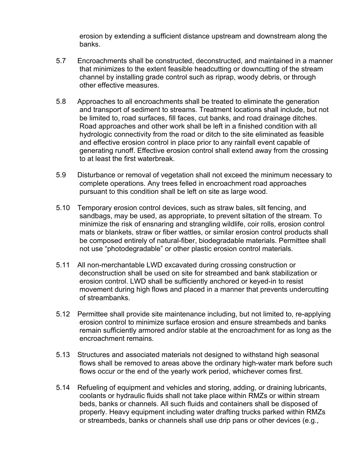erosion by extending a sufficient distance upstream and downstream along the banks.

- 5.7 Encroachments shall be constructed, deconstructed, and maintained in a manner that minimizes to the extent feasible headcutting or downcutting of the stream channel by installing grade control such as riprap, woody debris, or through other effective measures.
- 5.8 Approaches to all encroachments shall be treated to eliminate the generation and transport of sediment to streams. Treatment locations shall include, but not be limited to, road surfaces, fill faces, cut banks, and road drainage ditches. Road approaches and other work shall be left in a finished condition with all hydrologic connectivity from the road or ditch to the site eliminated as feasible and effective erosion control in place prior to any rainfall event capable of generating runoff. Effective erosion control shall extend away from the crossing to at least the first waterbreak.
- 5.9 Disturbance or removal of vegetation shall not exceed the minimum necessary to complete operations. Any trees felled in encroachment road approaches pursuant to this condition shall be left on site as large wood.
- 5.10 Temporary erosion control devices, such as straw bales, silt fencing, and sandbags, may be used, as appropriate, to prevent siltation of the stream. To minimize the risk of ensnaring and strangling wildlife, coir rolls, erosion control mats or blankets, straw or fiber wattles, or similar erosion control products shall be composed entirely of natural-fiber, biodegradable materials. Permittee shall not use "photodegradable" or other plastic erosion control materials.
- 5.11 All non-merchantable LWD excavated during crossing construction or deconstruction shall be used on site for streambed and bank stabilization or erosion control. LWD shall be sufficiently anchored or keyed-in to resist movement during high flows and placed in a manner that prevents undercutting of streambanks.
- 5.12 Permittee shall provide site maintenance including, but not limited to, re-applying erosion control to minimize surface erosion and ensure streambeds and banks remain sufficiently armored and/or stable at the encroachment for as long as the encroachment remains.
- 5.13 Structures and associated materials not designed to withstand high seasonal flows shall be removed to areas above the ordinary high-water mark before such flows occur or the end of the yearly work period, whichever comes first.
- 5.14 Refueling of equipment and vehicles and storing, adding, or draining lubricants, coolants or hydraulic fluids shall not take place within RMZs or within stream beds, banks or channels. All such fluids and containers shall be disposed of properly. Heavy equipment including water drafting trucks parked within RMZs or streambeds, banks or channels shall use drip pans or other devices (e.g.,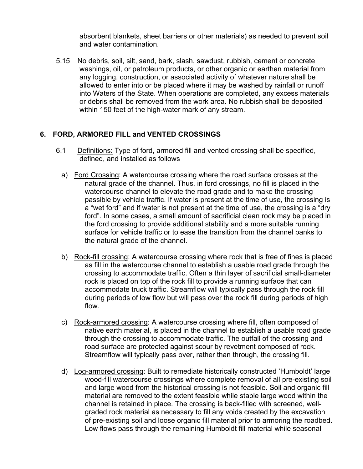absorbent blankets, sheet barriers or other materials) as needed to prevent soil and water contamination.

5.15 No debris, soil, silt, sand, bark, slash, sawdust, rubbish, cement or concrete washings, oil, or petroleum products, or other organic or earthen material from any logging, construction, or associated activity of whatever nature shall be allowed to enter into or be placed where it may be washed by rainfall or runoff into Waters of the State. When operations are completed, any excess materials or debris shall be removed from the work area. No rubbish shall be deposited within 150 feet of the high-water mark of any stream.

## **6. FORD, ARMORED FILL and VENTED CROSSINGS**

- 6.1 Definitions: Type of ford, armored fill and vented crossing shall be specified, defined, and installed as follows
	- a) Ford Crossing: A watercourse crossing where the road surface crosses at the natural grade of the channel. Thus, in ford crossings, no fill is placed in the watercourse channel to elevate the road grade and to make the crossing passible by vehicle traffic. If water is present at the time of use, the crossing is a "wet ford" and if water is not present at the time of use, the crossing is a "dry ford". In some cases, a small amount of sacrificial clean rock may be placed in the ford crossing to provide additional stability and a more suitable running surface for vehicle traffic or to ease the transition from the channel banks to the natural grade of the channel.
	- b) Rock-fill crossing: A watercourse crossing where rock that is free of fines is placed as fill in the watercourse channel to establish a usable road grade through the crossing to accommodate traffic. Often a thin layer of sacrificial small-diameter rock is placed on top of the rock fill to provide a running surface that can accommodate truck traffic. Streamflow will typically pass through the rock fill during periods of low flow but will pass over the rock fill during periods of high flow.
	- c) Rock-armored crossing: A watercourse crossing where fill, often composed of native earth material, is placed in the channel to establish a usable road grade through the crossing to accommodate traffic. The outfall of the crossing and road surface are protected against scour by revetment composed of rock. Streamflow will typically pass over, rather than through, the crossing fill.
	- d) Log-armored crossing: Built to remediate historically constructed 'Humboldt' large wood-fill watercourse crossings where complete removal of all pre-existing soil and large wood from the historical crossing is not feasible. Soil and organic fill material are removed to the extent feasible while stable large wood within the channel is retained in place. The crossing is back-filled with screened, wellgraded rock material as necessary to fill any voids created by the excavation of pre-existing soil and loose organic fill material prior to armoring the roadbed. Low flows pass through the remaining Humboldt fill material while seasonal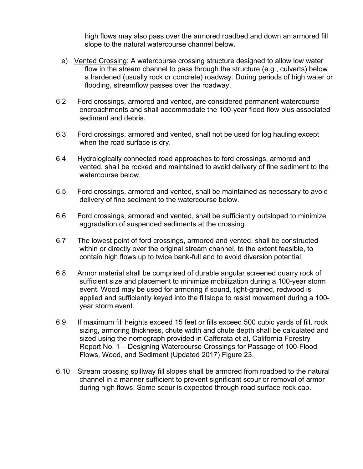high flows may also pass over the armored roadbed and down an armored fill slope to the natural watercourse channel below.

- e) Vented Crossing: A watercourse crossing structure designed to allow low water flow in the stream channel to pass through the structure (e.g., culverts) below a hardened (usually rock or concrete) roadway. During periods of high water or flooding, streamflow passes over the roadway.
- 6.2 Ford crossings, armored and vented, are considered permanent watercourse encroachments and shall accommodate the 100-year flood flow plus associated sediment and debris.
- 6.3 Ford crossings, armored and vented, shall not be used for log hauling except when the road surface is dry.
- 6.4 Hydrologically connected road approaches to ford crossings, armored and vented, shall be rocked and maintained to avoid delivery of fine sediment to the watercourse below.
- 6.5 Ford crossings, armored and vented, shall be maintained as necessary to avoid delivery of fine sediment to the watercourse below.
- 6.6 Ford crossings, armored and vented, shall be sufficiently outsloped to minimize aggradation of suspended sediments at the crossing
- 6.7 The lowest point of ford crossings, armored and vented, shall be constructed within or directly over the original stream channel, to the extent feasible, to contain high flows up to twice bank-full and to avoid diversion potential.
- 6.8 Armor material shall be comprised of durable angular screened quarry rock of sufficient size and placement to minimize mobilization during a 100-year storm event. Wood may be used for armoring if sound, tight-grained, redwood is applied and sufficiently keyed into the fillslope to resist movement during a 100 year storm event.
- 6.9 If maximum fill heights exceed 15 feet or fills exceed 500 cubic yards of fill, rock sizing, armoring thickness, chute width and chute depth shall be calculated and sized using the nomograph provided in Cafferata et al, California Forestry Report No. 1 – Designing Watercourse Crossings for Passage of 100-Flood Flows, Wood, and Sediment (Updated 2017) Figure 23.
- 6.10 Stream crossing spillway fill slopes shall be armored from roadbed to the natural channel in a manner sufficient to prevent significant scour or removal of armor during high flows. Some scour is expected through road surface rock cap.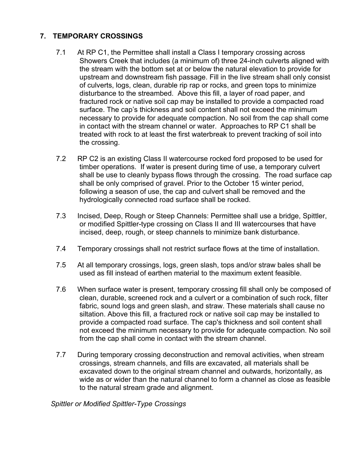## **7. TEMPORARY CROSSINGS**

- 7.1 At RP C1, the Permittee shall install a Class I temporary crossing across Showers Creek that includes (a minimum of) three 24-inch culverts aligned with the stream with the bottom set at or below the natural elevation to provide for upstream and downstream fish passage. Fill in the live stream shall only consist of culverts, logs, clean, durable rip rap or rocks, and green tops to minimize disturbance to the streambed. Above this fill, a layer of road paper, and fractured rock or native soil cap may be installed to provide a compacted road surface. The cap's thickness and soil content shall not exceed the minimum necessary to provide for adequate compaction. No soil from the cap shall come in contact with the stream channel or water. Approaches to RP C1 shall be treated with rock to at least the first waterbreak to prevent tracking of soil into the crossing.
- 7.2 RP C2 is an existing Class II watercourse rocked ford proposed to be used for timber operations. If water is present during time of use, a temporary culvert shall be use to cleanly bypass flows through the crossing. The road surface cap shall be only comprised of gravel. Prior to the October 15 winter period, following a season of use, the cap and culvert shall be removed and the hydrologically connected road surface shall be rocked.
- 7.3 Incised, Deep, Rough or Steep Channels: Permittee shall use a bridge, Spittler, or modified Spittler-type crossing on Class II and III watercourses that have incised, deep, rough, or steep channels to minimize bank disturbance.
- 7.4 Temporary crossings shall not restrict surface flows at the time of installation.
- 7.5 At all temporary crossings, logs, green slash, tops and/or straw bales shall be used as fill instead of earthen material to the maximum extent feasible.
- 7.6 When surface water is present, temporary crossing fill shall only be composed of clean, durable, screened rock and a culvert or a combination of such rock, filter fabric, sound logs and green slash, and straw. These materials shall cause no siltation. Above this fill, a fractured rock or native soil cap may be installed to provide a compacted road surface. The cap's thickness and soil content shall not exceed the minimum necessary to provide for adequate compaction. No soil from the cap shall come in contact with the stream channel.
- 7.7 During temporary crossing deconstruction and removal activities, when stream crossings, stream channels, and fills are excavated, all materials shall be excavated down to the original stream channel and outwards, horizontally, as wide as or wider than the natural channel to form a channel as close as feasible to the natural stream grade and alignment.

*Spittler or Modified Spittler-Type Crossings*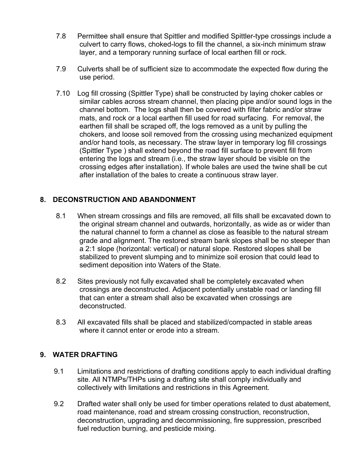- 7.8 Permittee shall ensure that Spittler and modified Spittler-type crossings include a culvert to carry flows, choked-logs to fill the channel, a six-inch minimum straw layer, and a temporary running surface of local earthen fill or rock.
- 7.9 Culverts shall be of sufficient size to accommodate the expected flow during the use period.
- 7.10 Log fill crossing (Spittler Type) shall be constructed by laying choker cables or similar cables across stream channel, then placing pipe and/or sound logs in the channel bottom. The logs shall then be covered with filter fabric and/or straw mats, and rock or a local earthen fill used for road surfacing. For removal, the earthen fill shall be scraped off, the logs removed as a unit by pulling the chokers, and loose soil removed from the crossing using mechanized equipment and/or hand tools, as necessary. The straw layer in temporary log fill crossings (Spittler Type ) shall extend beyond the road fill surface to prevent fill from entering the logs and stream (i.e., the straw layer should be visible on the crossing edges after installation). If whole bales are used the twine shall be cut after installation of the bales to create a continuous straw layer.

# **8. DECONSTRUCTION AND ABANDONMENT**

- 8.1 When stream crossings and fills are removed, all fills shall be excavated down to the original stream channel and outwards, horizontally, as wide as or wider than the natural channel to form a channel as close as feasible to the natural stream grade and alignment. The restored stream bank slopes shall be no steeper than a 2:1 slope (horizontal: vertical) or natural slope. Restored slopes shall be stabilized to prevent slumping and to minimize soil erosion that could lead to sediment deposition into Waters of the State.
- 8.2 Sites previously not fully excavated shall be completely excavated when crossings are deconstructed. Adjacent potentially unstable road or landing fill that can enter a stream shall also be excavated when crossings are deconstructed.
- 8.3 All excavated fills shall be placed and stabilized/compacted in stable areas where it cannot enter or erode into a stream.

## **9. WATER DRAFTING**

- 9.1 Limitations and restrictions of drafting conditions apply to each individual drafting site. All NTMPs/THPs using a drafting site shall comply individually and collectively with limitations and restrictions in this Agreement.
- 9.2 Drafted water shall only be used for timber operations related to dust abatement, road maintenance, road and stream crossing construction, reconstruction, deconstruction, upgrading and decommissioning, fire suppression, prescribed fuel reduction burning, and pesticide mixing.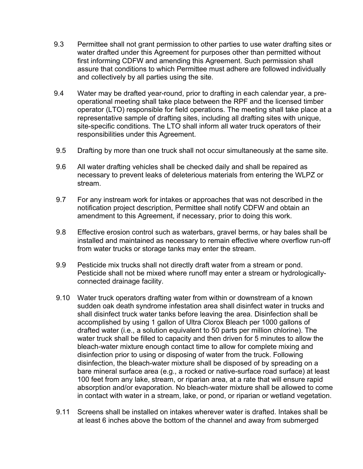- 9.3 Permittee shall not grant permission to other parties to use water drafting sites or water drafted under this Agreement for purposes other than permitted without first informing CDFW and amending this Agreement. Such permission shall assure that conditions to which Permittee must adhere are followed individually and collectively by all parties using the site.
- 9.4 Water may be drafted year-round, prior to drafting in each calendar year, a preoperational meeting shall take place between the RPF and the licensed timber operator (LTO) responsible for field operations. The meeting shall take place at a representative sample of drafting sites, including all drafting sites with unique, site-specific conditions. The LTO shall inform all water truck operators of their responsibilities under this Agreement.
- 9.5 Drafting by more than one truck shall not occur simultaneously at the same site.
- 9.6 All water drafting vehicles shall be checked daily and shall be repaired as necessary to prevent leaks of deleterious materials from entering the WLPZ or stream.
- 9.7 For any instream work for intakes or approaches that was not described in the notification project description, Permittee shall notify CDFW and obtain an amendment to this Agreement, if necessary, prior to doing this work.
- 9.8 Effective erosion control such as waterbars, gravel berms, or hay bales shall be installed and maintained as necessary to remain effective where overflow run-off from water trucks or storage tanks may enter the stream.
- 9.9 Pesticide mix trucks shall not directly draft water from a stream or pond. Pesticide shall not be mixed where runoff may enter a stream or hydrologicallyconnected drainage facility.
- 9.10 Water truck operators drafting water from within or downstream of a known sudden oak death syndrome infestation area shall disinfect water in trucks and shall disinfect truck water tanks before leaving the area. Disinfection shall be accomplished by using 1 gallon of Ultra Clorox Bleach per 1000 gallons of drafted water (i.e., a solution equivalent to 50 parts per million chlorine). The water truck shall be filled to capacity and then driven for 5 minutes to allow the bleach-water mixture enough contact time to allow for complete mixing and disinfection prior to using or disposing of water from the truck. Following disinfection, the bleach-water mixture shall be disposed of by spreading on a bare mineral surface area (e.g., a rocked or native-surface road surface) at least 100 feet from any lake, stream, or riparian area, at a rate that will ensure rapid absorption and/or evaporation. No bleach-water mixture shall be allowed to come in contact with water in a stream, lake, or pond, or riparian or wetland vegetation.
- 9.11 Screens shall be installed on intakes wherever water is drafted. Intakes shall be at least 6 inches above the bottom of the channel and away from submerged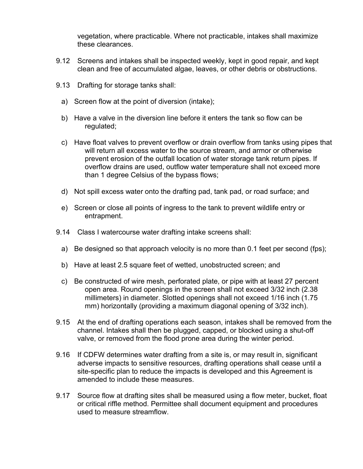vegetation, where practicable. Where not practicable, intakes shall maximize these clearances.

- 9.12 Screens and intakes shall be inspected weekly, kept in good repair, and kept clean and free of accumulated algae, leaves, or other debris or obstructions.
- 9.13 Drafting for storage tanks shall:
	- a) Screen flow at the point of diversion (intake);
	- b) Have a valve in the diversion line before it enters the tank so flow can be regulated;
	- c) Have float valves to prevent overflow or drain overflow from tanks using pipes that will return all excess water to the source stream, and armor or otherwise prevent erosion of the outfall location of water storage tank return pipes. If overflow drains are used, outflow water temperature shall not exceed more than 1 degree Celsius of the bypass flows;
	- d) Not spill excess water onto the drafting pad, tank pad, or road surface; and
	- e) Screen or close all points of ingress to the tank to prevent wildlife entry or entrapment.
- 9.14 Class I watercourse water drafting intake screens shall:
	- a) Be designed so that approach velocity is no more than 0.1 feet per second (fps);
	- b) Have at least 2.5 square feet of wetted, unobstructed screen; and
	- c) Be constructed of wire mesh, perforated plate, or pipe with at least 27 percent open area. Round openings in the screen shall not exceed 3/32 inch (2.38 millimeters) in diameter. Slotted openings shall not exceed 1/16 inch (1.75 mm) horizontally (providing a maximum diagonal opening of 3/32 inch).
- 9.15 At the end of drafting operations each season, intakes shall be removed from the channel. Intakes shall then be plugged, capped, or blocked using a shut-off valve, or removed from the flood prone area during the winter period.
- 9.16 If CDFW determines water drafting from a site is, or may result in, significant adverse impacts to sensitive resources, drafting operations shall cease until a site-specific plan to reduce the impacts is developed and this Agreement is amended to include these measures.
- 9.17 Source flow at drafting sites shall be measured using a flow meter, bucket, float or critical riffle method. Permittee shall document equipment and procedures used to measure streamflow.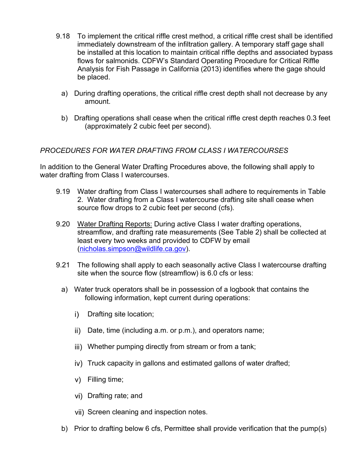- 9.18 To implement the critical riffle crest method, a critical riffle crest shall be identified immediately downstream of the infiltration gallery. A temporary staff gage shall be installed at this location to maintain critical riffle depths and associated bypass flows for salmonids. CDFW's Standard Operating Procedure for Critical Riffle Analysis for Fish Passage in California (2013) identifies where the gage should be placed.
	- a) During drafting operations, the critical riffle crest depth shall not decrease by any amount.
	- b) Drafting operations shall cease when the critical riffle crest depth reaches 0.3 feet (approximately 2 cubic feet per second).

## *PROCEDURES FOR WATER DRAFTING FROM CLASS I WATERCOURSES*

In addition to the General Water Drafting Procedures above, the following shall apply to water drafting from Class I watercourses.

- 9.19 Water drafting from Class I watercourses shall adhere to requirements in Table 2. Water drafting from a Class I watercourse drafting site shall cease when source flow drops to 2 cubic feet per second (cfs).
- 9.20 Water Drafting Reports: During active Class I water drafting operations, streamflow, and drafting rate measurements (See Table 2) shall be collected at least every two weeks and provided to CDFW by email (nicholas.simpson@wildlife.ca.gov).
- 9.21 The following shall apply to each seasonally active Class I watercourse drafting site when the source flow (streamflow) is 6.0 cfs or less:
	- a) Water truck operators shall be in possession of a logbook that contains the following information, kept current during operations:
		- i) Drafting site location;
		- ii) Date, time (including a.m. or p.m.), and operators name;
		- iii) Whether pumping directly from stream or from a tank;
		- iv) Truck capacity in gallons and estimated gallons of water drafted;
		- Filling time; v)
		- vi) Drafting rate; and
		- vii) Screen cleaning and inspection notes.
	- b) Prior to drafting below 6 cfs, Permittee shall provide verification that the pump(s)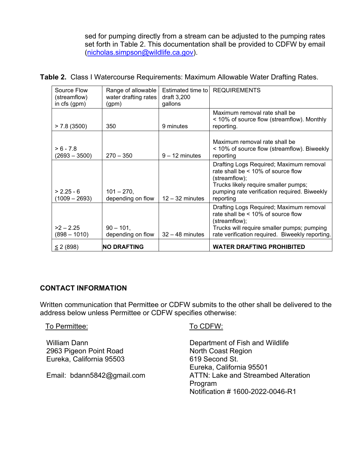sed for pumping directly from a stream can be adjusted to the pumping rates set forth in Table 2. This documentation shall be provided to CDFW by email (nicholas.simpson@wildlife.ca.gov).

#### **Table 2.** Class I Watercourse Requirements: Maximum Allowable Water Drafting Rates.

| Source Flow<br>(streamflow)<br>in cfs (gpm) | Range of allowable<br>water drafting rates<br>(gpm) | Estimated time to l<br>draft $3,200$<br>gallons | <b>REQUIREMENTS</b>                                                                                                                                                                                    |
|---------------------------------------------|-----------------------------------------------------|-------------------------------------------------|--------------------------------------------------------------------------------------------------------------------------------------------------------------------------------------------------------|
| $> 7.8$ (3500)                              | 350                                                 | 9 minutes                                       | Maximum removal rate shall be<br>< 10% of source flow (streamflow). Monthly<br>reporting.                                                                                                              |
| $> 6 - 7.8$<br>$(2693 - 3500)$              | $270 - 350$                                         | $9 - 12$ minutes                                | Maximum removal rate shall be<br>< 10% of source flow (streamflow). Biweekly<br>reporting                                                                                                              |
| $> 2.25 - 6$<br>$(1009 - 2693)$             | $101 - 270$ ,<br>depending on flow                  | $12 - 32$ minutes                               | Drafting Logs Required; Maximum removal<br>rate shall be $< 10\%$ of source flow<br>(streamflow);<br>Trucks likely require smaller pumps;<br>pumping rate verification required. Biweekly<br>reporting |
| $>2 - 2.25$<br>$(898 - 1010)$               | $90 - 101$ ,<br>depending on flow                   | $32 - 48$ minutes                               | Drafting Logs Required; Maximum removal<br>rate shall be $< 10\%$ of source flow<br>(streamflow);<br>Trucks will require smaller pumps; pumping<br>rate verification required. Biweekly reporting.     |
| $\leq$ 2 (898)                              | <b>NO DRAFTING</b>                                  |                                                 | <b>WATER DRAFTING PROHIBITED</b>                                                                                                                                                                       |

#### **CONTACT INFORMATION**

Written communication that Permittee or CDFW submits to the other shall be delivered to the address below unless Permittee or CDFW specifies otherwise:

#### To Permittee: To CDFW:

William Dann 2963 Pigeon Point Road Eureka, California 95503

Email: bdann5842@gmail.com

Department of Fish and Wildlife North Coast Region 619 Second St. Eureka, California 95501 ATTN: Lake and Streambed Alteration Program Notification # 1600-2022-0046-R1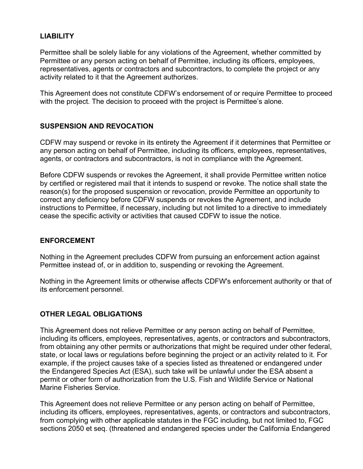## **LIABILITY**

Permittee shall be solely liable for any violations of the Agreement, whether committed by Permittee or any person acting on behalf of Permittee, including its officers, employees, representatives, agents or contractors and subcontractors, to complete the project or any activity related to it that the Agreement authorizes.

This Agreement does not constitute CDFW's endorsement of or require Permittee to proceed with the project. The decision to proceed with the project is Permittee's alone.

## **SUSPENSION AND REVOCATION**

CDFW may suspend or revoke in its entirety the Agreement if it determines that Permittee or any person acting on behalf of Permittee, including its officers, employees, representatives, agents, or contractors and subcontractors, is not in compliance with the Agreement.

Before CDFW suspends or revokes the Agreement, it shall provide Permittee written notice by certified or registered mail that it intends to suspend or revoke. The notice shall state the reason(s) for the proposed suspension or revocation, provide Permittee an opportunity to correct any deficiency before CDFW suspends or revokes the Agreement, and include instructions to Permittee, if necessary, including but not limited to a directive to immediately cease the specific activity or activities that caused CDFW to issue the notice.

#### **ENFORCEMENT**

Nothing in the Agreement precludes CDFW from pursuing an enforcement action against Permittee instead of, or in addition to, suspending or revoking the Agreement.

Nothing in the Agreement limits or otherwise affects CDFW's enforcement authority or that of its enforcement personnel.

## **OTHER LEGAL OBLIGATIONS**

This Agreement does not relieve Permittee or any person acting on behalf of Permittee, including its officers, employees, representatives, agents, or contractors and subcontractors, from obtaining any other permits or authorizations that might be required under other federal, state, or local laws or regulations before beginning the project or an activity related to it. For example, if the project causes take of a species listed as threatened or endangered under the Endangered Species Act (ESA), such take will be unlawful under the ESA absent a permit or other form of authorization from the U.S. Fish and Wildlife Service or National Marine Fisheries Service.

This Agreement does not relieve Permittee or any person acting on behalf of Permittee, including its officers, employees, representatives, agents, or contractors and subcontractors, from complying with other applicable statutes in the FGC including, but not limited to, FGC sections 2050 et seq. (threatened and endangered species under the California Endangered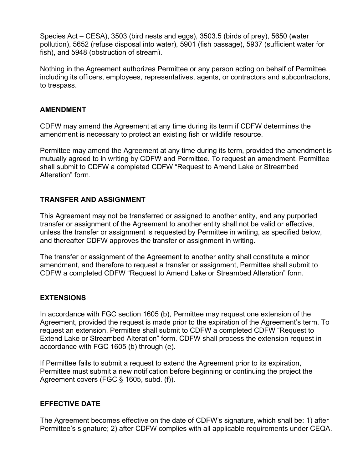Species Act – CESA), 3503 (bird nests and eggs), 3503.5 (birds of prey), 5650 (water pollution), 5652 (refuse disposal into water), 5901 (fish passage), 5937 (sufficient water for fish), and 5948 (obstruction of stream).

Nothing in the Agreement authorizes Permittee or any person acting on behalf of Permittee, including its officers, employees, representatives, agents, or contractors and subcontractors, to trespass.

### **AMENDMENT**

CDFW may amend the Agreement at any time during its term if CDFW determines the amendment is necessary to protect an existing fish or wildlife resource.

Permittee may amend the Agreement at any time during its term, provided the amendment is mutually agreed to in writing by CDFW and Permittee. To request an amendment, Permittee shall submit to CDFW a completed CDFW "Request to Amend Lake or Streambed Alteration" form.

### **TRANSFER AND ASSIGNMENT**

This Agreement may not be transferred or assigned to another entity, and any purported transfer or assignment of the Agreement to another entity shall not be valid or effective, unless the transfer or assignment is requested by Permittee in writing, as specified below, and thereafter CDFW approves the transfer or assignment in writing.

The transfer or assignment of the Agreement to another entity shall constitute a minor amendment, and therefore to request a transfer or assignment, Permittee shall submit to CDFW a completed CDFW "Request to Amend Lake or Streambed Alteration" form.

## **EXTENSIONS**

In accordance with FGC section 1605 (b), Permittee may request one extension of the Agreement, provided the request is made prior to the expiration of the Agreement's term. To request an extension, Permittee shall submit to CDFW a completed CDFW "Request to Extend Lake or Streambed Alteration" form. CDFW shall process the extension request in accordance with FGC 1605 (b) through (e).

If Permittee fails to submit a request to extend the Agreement prior to its expiration, Permittee must submit a new notification before beginning or continuing the project the Agreement covers (FGC § 1605, subd. (f)).

## **EFFECTIVE DATE**

The Agreement becomes effective on the date of CDFW's signature, which shall be: 1) after Permittee's signature; 2) after CDFW complies with all applicable requirements under CEQA.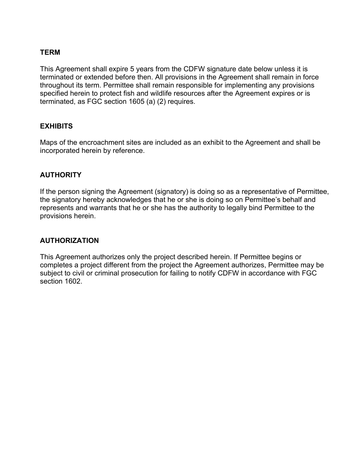#### **TERM**

This Agreement shall expire 5 years from the CDFW signature date below unless it is terminated or extended before then. All provisions in the Agreement shall remain in force throughout its term. Permittee shall remain responsible for implementing any provisions specified herein to protect fish and wildlife resources after the Agreement expires or is terminated, as FGC section 1605 (a) (2) requires.

### **EXHIBITS**

Maps of the encroachment sites are included as an exhibit to the Agreement and shall be incorporated herein by reference.

### **AUTHORITY**

If the person signing the Agreement (signatory) is doing so as a representative of Permittee, the signatory hereby acknowledges that he or she is doing so on Permittee's behalf and represents and warrants that he or she has the authority to legally bind Permittee to the provisions herein.

#### **AUTHORIZATION**

This Agreement authorizes only the project described herein. If Permittee begins or completes a project different from the project the Agreement authorizes, Permittee may be subject to civil or criminal prosecution for failing to notify CDFW in accordance with FGC section 1602.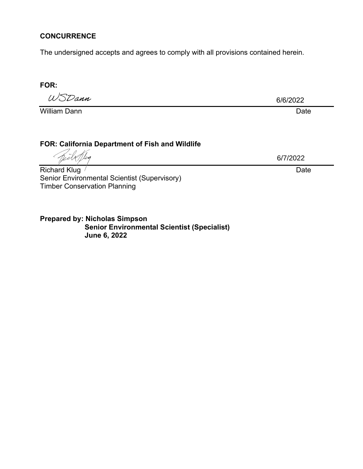### **CONCURRENCE**

The undersigned accepts and agrees to comply with all provisions contained herein.

#### **FOR:**

*UJ^ SZ^ ajut '*

William Dann **Date** 

6/6/2022

# **FOR: California Department of Fish and Wildlife**

lva

Richard Klug / **Date Date 2018** Senior Environmental Scientist (Supervisory) Timber Conservation Planning

6/7/2022

**Prepared by: Nicholas Simpson Senior Environmental Scientist (Specialist) June 6, 2022**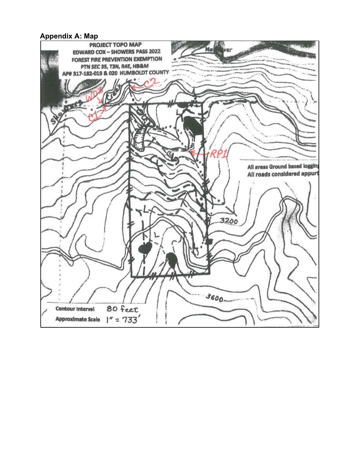### **Appendix A: Map**